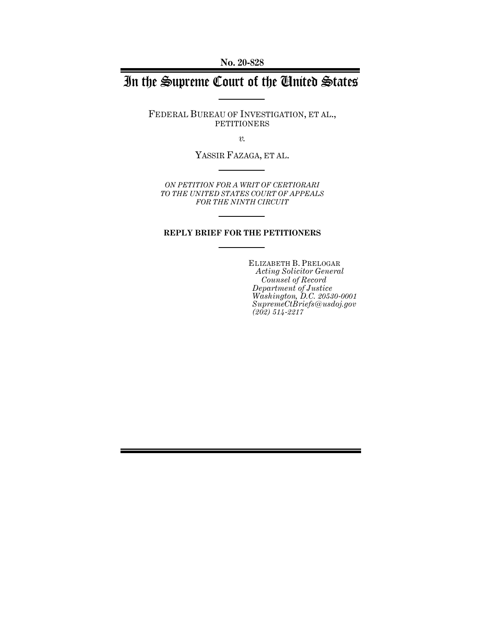**No. 20-828**

# In the Supreme Court of the United States

FEDERAL BUREAU OF INVESTIGATION, ET AL., PETITIONERS

*v.*

YASSIR FAZAGA, ET AL.

*ON PETITION FOR A WRIT OF CERTIORARI TO THE UNITED STATES COURT OF APPEALS FOR THE NINTH CIRCUIT* 

#### **REPLY BRIEF FOR THE PETITIONERS**

ELIZABETH B. PRELOGAR *Acting Solicitor General Counsel of Record Department of Justice Washington, D.C. 20530-0001 SupremeCtBriefs@usdoj.gov (202) 514-2217*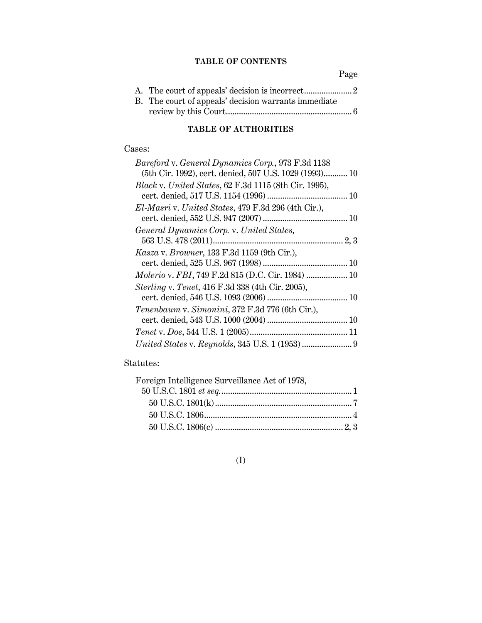## **TABLE OF CONTENTS**

Page

| B. The court of appeals' decision warrants immediate |  |
|------------------------------------------------------|--|
|                                                      |  |

## **TABLE OF AUTHORITIES**

#### Cases:

| (5th Cir. 1992), cert. denied, 507 U.S. 1029 (1993) 10 |
|--------------------------------------------------------|
|                                                        |
|                                                        |
|                                                        |
|                                                        |
|                                                        |
|                                                        |
|                                                        |
|                                                        |
| Molerio v. FBI, 749 F.2d 815 (D.C. Cir. 1984)  10      |
|                                                        |
|                                                        |
|                                                        |
|                                                        |
|                                                        |
|                                                        |
|                                                        |

## Statutes:

| Foreign Intelligence Surveillance Act of 1978, |  |
|------------------------------------------------|--|
|                                                |  |
|                                                |  |
|                                                |  |
|                                                |  |

## (I)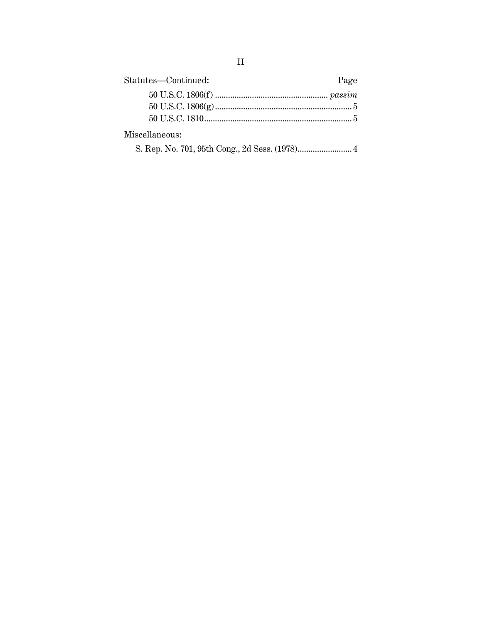| Statutes—Continued: | Page |
|---------------------|------|
|                     |      |
|                     |      |
|                     |      |
| Miscellaneous:      |      |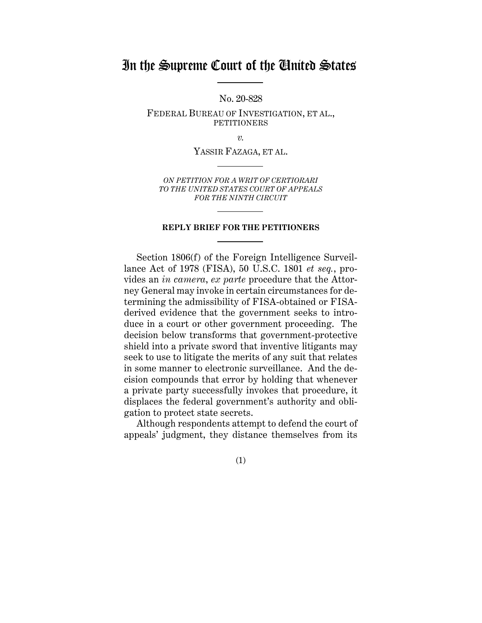## In the Supreme Court of the United States

No. 20-828

FEDERAL BUREAU OF INVESTIGATION, ET AL., PETITIONERS

*v.*

YASSIR FAZAGA, ET AL.

*ON PETITION FOR A WRIT OF CERTIORARI TO THE UNITED STATES COURT OF APPEALS FOR THE NINTH CIRCUIT* 

#### **REPLY BRIEF FOR THE PETITIONERS**

Section 1806(f) of the Foreign Intelligence Surveillance Act of 1978 (FISA), 50 U.S.C. 1801 *et seq.*, provides an *in camera*, *ex parte* procedure that the Attorney General may invoke in certain circumstances for determining the admissibility of FISA-obtained or FISAderived evidence that the government seeks to introduce in a court or other government proceeding. The decision below transforms that government-protective shield into a private sword that inventive litigants may seek to use to litigate the merits of any suit that relates in some manner to electronic surveillance. And the decision compounds that error by holding that whenever a private party successfully invokes that procedure, it displaces the federal government's authority and obligation to protect state secrets.

Although respondents attempt to defend the court of appeals' judgment, they distance themselves from its

(1)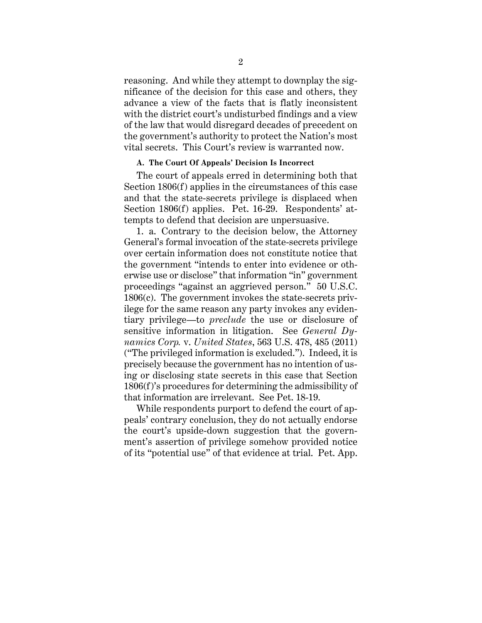reasoning. And while they attempt to downplay the significance of the decision for this case and others, they advance a view of the facts that is flatly inconsistent with the district court's undisturbed findings and a view of the law that would disregard decades of precedent on the government's authority to protect the Nation's most vital secrets. This Court's review is warranted now.

#### **A. The Court Of Appeals' Decision Is Incorrect**

The court of appeals erred in determining both that Section 1806(f) applies in the circumstances of this case and that the state-secrets privilege is displaced when Section 1806(f) applies. Pet. 16-29. Respondents' attempts to defend that decision are unpersuasive.

1. a. Contrary to the decision below, the Attorney General's formal invocation of the state-secrets privilege over certain information does not constitute notice that the government "intends to enter into evidence or otherwise use or disclose" that information "in" government proceedings "against an aggrieved person." 50 U.S.C. 1806(c). The government invokes the state-secrets privilege for the same reason any party invokes any evidentiary privilege—to *preclude* the use or disclosure of sensitive information in litigation. See *General Dynamics Corp.* v. *United States*, 563 U.S. 478, 485 (2011) ("The privileged information is excluded."). Indeed, it is precisely because the government has no intention of using or disclosing state secrets in this case that Section 1806(f)'s procedures for determining the admissibility of that information are irrelevant. See Pet. 18-19.

While respondents purport to defend the court of appeals' contrary conclusion, they do not actually endorse the court's upside-down suggestion that the government's assertion of privilege somehow provided notice of its "potential use" of that evidence at trial. Pet. App.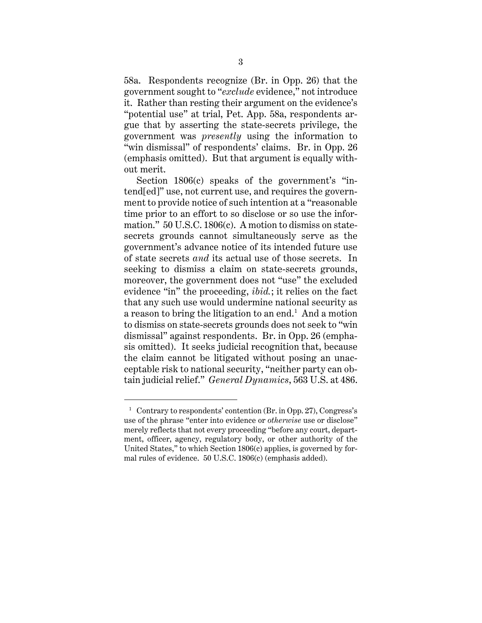58a. Respondents recognize (Br. in Opp. 26) that the government sought to "*exclude* evidence," not introduce it. Rather than resting their argument on the evidence's "potential use" at trial, Pet. App. 58a, respondents argue that by asserting the state-secrets privilege, the government was *presently* using the information to "win dismissal" of respondents' claims. Br. in Opp. 26 (emphasis omitted). But that argument is equally without merit.

Section 1806(c) speaks of the government's "intend[ed]" use, not current use, and requires the government to provide notice of such intention at a "reasonable time prior to an effort to so disclose or so use the information." 50 U.S.C. 1806(c). A motion to dismiss on statesecrets grounds cannot simultaneously serve as the government's advance notice of its intended future use of state secrets *and* its actual use of those secrets. In seeking to dismiss a claim on state-secrets grounds, moreover, the government does not "use" the excluded evidence "in" the proceeding, *ibid.*; it relies on the fact that any such use would undermine national security as a reason to bring the litigation to an end. $^1\,$  And a motion to dismiss on state-secrets grounds does not seek to "win dismissal" against respondents. Br. in Opp. 26 (emphasis omitted). It seeks judicial recognition that, because the claim cannot be litigated without posing an unacceptable risk to national security, "neither party can obtain judicial relief." *General Dynamics*, 563 U.S. at 486.

 $\overline{a}$ 

<sup>&</sup>lt;sup>1</sup> Contrary to respondents' contention (Br. in Opp. 27), Congress's use of the phrase "enter into evidence or *otherwise* use or disclose" merely reflects that not every proceeding "before any court, department, officer, agency, regulatory body, or other authority of the United States," to which Section 1806(c) applies, is governed by formal rules of evidence. 50 U.S.C. 1806(c) (emphasis added).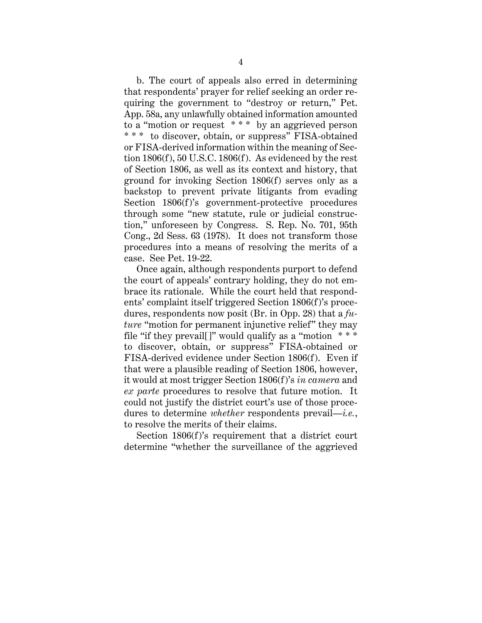b. The court of appeals also erred in determining that respondents' prayer for relief seeking an order requiring the government to "destroy or return," Pet. App. 58a, any unlawfully obtained information amounted to a "motion or request \* \* \* by an aggrieved person \* \* \* to discover, obtain, or suppress" FISA-obtained or FISA-derived information within the meaning of Section 1806(f), 50 U.S.C. 1806(f). As evidenced by the rest of Section 1806, as well as its context and history, that ground for invoking Section 1806(f) serves only as a backstop to prevent private litigants from evading Section 1806(f)'s government-protective procedures through some "new statute, rule or judicial construction," unforeseen by Congress. S. Rep. No. 701, 95th Cong., 2d Sess. 63 (1978). It does not transform those procedures into a means of resolving the merits of a case. See Pet. 19-22.

Once again, although respondents purport to defend the court of appeals' contrary holding, they do not embrace its rationale. While the court held that respondents' complaint itself triggered Section 1806(f)'s procedures, respondents now posit (Br. in Opp. 28) that a *future* "motion for permanent injunctive relief" they may file "if they prevail[]" would qualify as a "motion \* \* \* to discover, obtain, or suppress" FISA-obtained or FISA-derived evidence under Section 1806(f). Even if that were a plausible reading of Section 1806, however, it would at most trigger Section 1806(f)'s *in camera* and *ex parte* procedures to resolve that future motion. It could not justify the district court's use of those procedures to determine *whether* respondents prevail—*i.e.*, to resolve the merits of their claims.

Section 1806(f)'s requirement that a district court determine "whether the surveillance of the aggrieved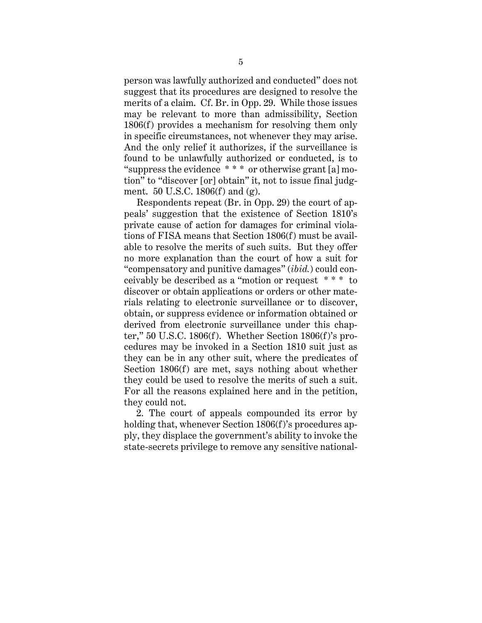person was lawfully authorized and conducted" does not suggest that its procedures are designed to resolve the merits of a claim. Cf. Br. in Opp. 29. While those issues may be relevant to more than admissibility, Section 1806(f) provides a mechanism for resolving them only in specific circumstances, not whenever they may arise. And the only relief it authorizes, if the surveillance is found to be unlawfully authorized or conducted, is to "suppress the evidence  $***$  or otherwise grant [a] motion" to "discover [or] obtain" it, not to issue final judgment. 50 U.S.C. 1806(f) and (g).

Respondents repeat (Br. in Opp. 29) the court of appeals' suggestion that the existence of Section 1810's private cause of action for damages for criminal violations of FISA means that Section 1806(f) must be available to resolve the merits of such suits. But they offer no more explanation than the court of how a suit for "compensatory and punitive damages" (*ibid.*) could conceivably be described as a "motion or request \* \* \* to discover or obtain applications or orders or other materials relating to electronic surveillance or to discover, obtain, or suppress evidence or information obtained or derived from electronic surveillance under this chapter," 50 U.S.C. 1806(f). Whether Section 1806(f)'s procedures may be invoked in a Section 1810 suit just as they can be in any other suit, where the predicates of Section 1806(f) are met, says nothing about whether they could be used to resolve the merits of such a suit. For all the reasons explained here and in the petition, they could not.

2. The court of appeals compounded its error by holding that, whenever Section 1806(f)'s procedures apply, they displace the government's ability to invoke the state-secrets privilege to remove any sensitive national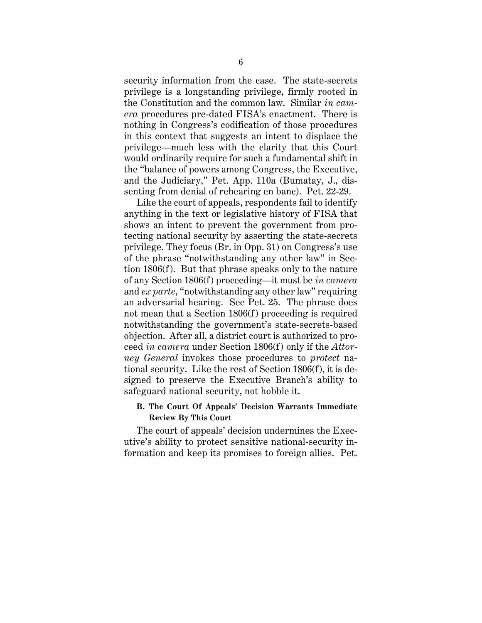security information from the case. The state-secrets privilege is a longstanding privilege, firmly rooted in the Constitution and the common law. Similar *in camera* procedures pre-dated FISA's enactment. There is nothing in Congress's codification of those procedures in this context that suggests an intent to displace the privilege—much less with the clarity that this Court would ordinarily require for such a fundamental shift in the "balance of powers among Congress, the Executive, and the Judiciary," Pet. App. 110a (Bumatay, J., dissenting from denial of rehearing en banc). Pet. 22-29.

Like the court of appeals, respondents fail to identify anything in the text or legislative history of FISA that shows an intent to prevent the government from protecting national security by asserting the state-secrets privilege. They focus (Br. in Opp. 31) on Congress's use of the phrase "notwithstanding any other law" in Section 1806(f). But that phrase speaks only to the nature of any Section 1806(f) proceeding—it must be *in camera* and *ex parte*, "notwithstanding any other law" requiring an adversarial hearing. See Pet. 25. The phrase does not mean that a Section 1806(f) proceeding is required notwithstanding the government's state-secrets-based objection. After all, a district court is authorized to proceed *in camera* under Section 1806(f) only if the *Attorney General* invokes those procedures to *protect* national security. Like the rest of Section 1806(f), it is designed to preserve the Executive Branch's ability to safeguard national security, not hobble it.

#### **B. The Court Of Appeals' Decision Warrants Immediate Review By This Court**

The court of appeals' decision undermines the Executive's ability to protect sensitive national-security information and keep its promises to foreign allies. Pet.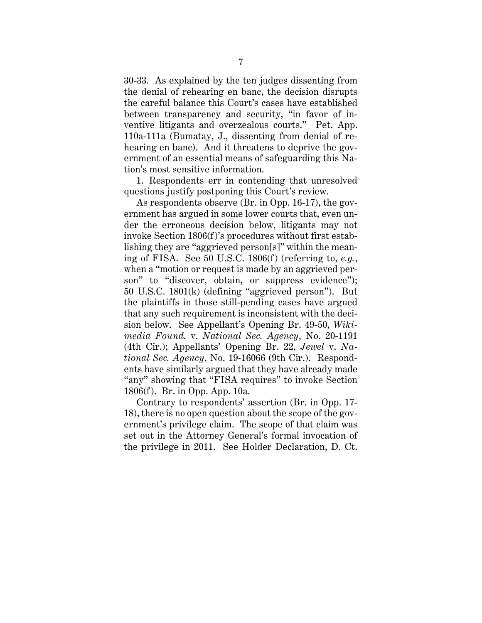30-33. As explained by the ten judges dissenting from the denial of rehearing en banc, the decision disrupts the careful balance this Court's cases have established between transparency and security, "in favor of inventive litigants and overzealous courts." Pet. App. 110a-111a (Bumatay, J., dissenting from denial of rehearing en banc). And it threatens to deprive the government of an essential means of safeguarding this Nation's most sensitive information.

1. Respondents err in contending that unresolved questions justify postponing this Court's review.

As respondents observe (Br. in Opp. 16-17), the government has argued in some lower courts that, even under the erroneous decision below, litigants may not invoke Section 1806(f)'s procedures without first establishing they are "aggrieved person[s]" within the meaning of FISA. See 50 U.S.C. 1806(f) (referring to, *e.g.*, when a "motion or request is made by an aggrieved person" to "discover, obtain, or suppress evidence"); 50 U.S.C. 1801(k) (defining "aggrieved person"). But the plaintiffs in those still-pending cases have argued that any such requirement is inconsistent with the decision below. See Appellant's Opening Br. 49-50, *Wikimedia Found.* v. *National Sec. Agency*, No. 20-1191 (4th Cir.); Appellants' Opening Br. 22, *Jewel* v. *National Sec. Agency*, No. 19-16066 (9th Cir.). Respondents have similarly argued that they have already made "any" showing that "FISA requires" to invoke Section 1806(f). Br. in Opp. App. 10a.

Contrary to respondents' assertion (Br. in Opp. 17- 18), there is no open question about the scope of the government's privilege claim. The scope of that claim was set out in the Attorney General's formal invocation of the privilege in 2011. See Holder Declaration, D. Ct.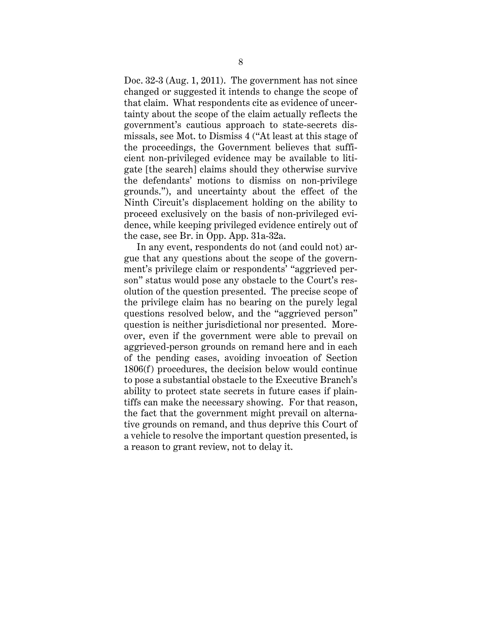Doc. 32-3 (Aug. 1, 2011). The government has not since changed or suggested it intends to change the scope of that claim. What respondents cite as evidence of uncertainty about the scope of the claim actually reflects the government's cautious approach to state-secrets dismissals, see Mot. to Dismiss 4 ("At least at this stage of the proceedings, the Government believes that sufficient non-privileged evidence may be available to litigate [the search] claims should they otherwise survive the defendants' motions to dismiss on non-privilege grounds."), and uncertainty about the effect of the Ninth Circuit's displacement holding on the ability to proceed exclusively on the basis of non-privileged evidence, while keeping privileged evidence entirely out of the case, see Br. in Opp. App. 31a-32a.

In any event, respondents do not (and could not) argue that any questions about the scope of the government's privilege claim or respondents' "aggrieved person" status would pose any obstacle to the Court's resolution of the question presented. The precise scope of the privilege claim has no bearing on the purely legal questions resolved below, and the "aggrieved person" question is neither jurisdictional nor presented. Moreover, even if the government were able to prevail on aggrieved-person grounds on remand here and in each of the pending cases, avoiding invocation of Section 1806(f) procedures, the decision below would continue to pose a substantial obstacle to the Executive Branch's ability to protect state secrets in future cases if plaintiffs can make the necessary showing. For that reason, the fact that the government might prevail on alternative grounds on remand, and thus deprive this Court of a vehicle to resolve the important question presented, is a reason to grant review, not to delay it.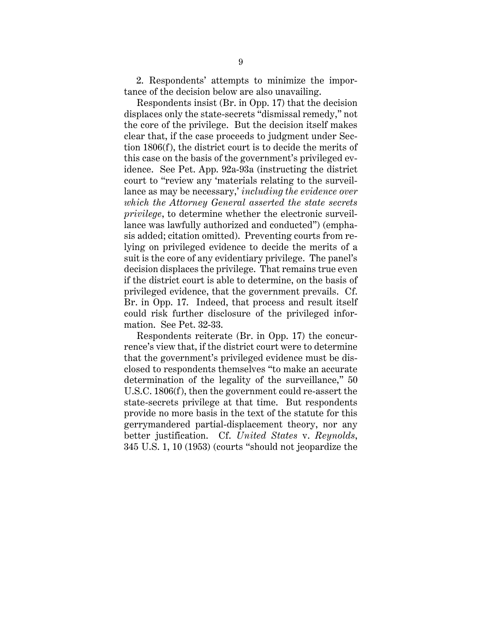2. Respondents' attempts to minimize the importance of the decision below are also unavailing.

Respondents insist (Br. in Opp. 17) that the decision displaces only the state-secrets "dismissal remedy," not the core of the privilege. But the decision itself makes clear that, if the case proceeds to judgment under Section 1806(f), the district court is to decide the merits of this case on the basis of the government's privileged evidence. See Pet. App. 92a-93a (instructing the district court to "review any 'materials relating to the surveillance as may be necessary,' *including the evidence over which the Attorney General asserted the state secrets privilege*, to determine whether the electronic surveillance was lawfully authorized and conducted") (emphasis added; citation omitted). Preventing courts from relying on privileged evidence to decide the merits of a suit is the core of any evidentiary privilege. The panel's decision displaces the privilege. That remains true even if the district court is able to determine, on the basis of privileged evidence, that the government prevails. Cf. Br. in Opp. 17. Indeed, that process and result itself could risk further disclosure of the privileged information. See Pet. 32-33.

Respondents reiterate (Br. in Opp. 17) the concurrence's view that, if the district court were to determine that the government's privileged evidence must be disclosed to respondents themselves "to make an accurate determination of the legality of the surveillance," 50 U.S.C. 1806(f), then the government could re-assert the state-secrets privilege at that time. But respondents provide no more basis in the text of the statute for this gerrymandered partial-displacement theory, nor any better justification. Cf. *United States* v. *Reynolds*, 345 U.S. 1, 10 (1953) (courts "should not jeopardize the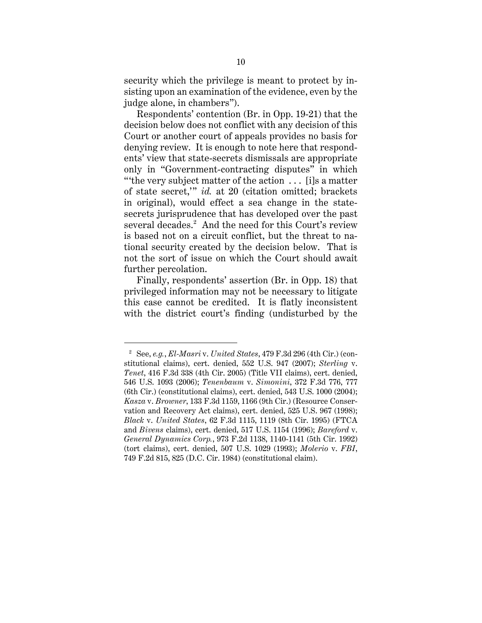security which the privilege is meant to protect by insisting upon an examination of the evidence, even by the judge alone, in chambers").

Respondents' contention (Br. in Opp. 19-21) that the decision below does not conflict with any decision of this Court or another court of appeals provides no basis for denying review. It is enough to note here that respondents' view that state-secrets dismissals are appropriate only in "Government-contracting disputes" in which "'the very subject matter of the action . . . [i]s a matter of state secret,'" *id.* at 20 (citation omitted; brackets in original), would effect a sea change in the statesecrets jurisprudence that has developed over the past several decades. 2 And the need for this Court's review is based not on a circuit conflict, but the threat to national security created by the decision below. That is not the sort of issue on which the Court should await further percolation.

Finally, respondents' assertion (Br. in Opp. 18) that privileged information may not be necessary to litigate this case cannot be credited. It is flatly inconsistent with the district court's finding (undisturbed by the

 $\overline{a}$ 

<sup>2</sup> See, *e.g.*, *El-Masri* v. *United States*, 479 F.3d 296 (4th Cir.) (constitutional claims), cert. denied, 552 U.S. 947 (2007); *Sterling* v. *Tenet*, 416 F.3d 338 (4th Cir. 2005) (Title VII claims), cert. denied, 546 U.S. 1093 (2006); *Tenenbaum* v. *Simonini*, 372 F.3d 776, 777 (6th Cir.) (constitutional claims), cert. denied, 543 U.S. 1000 (2004); *Kasza* v. *Browner*, 133 F.3d 1159, 1166 (9th Cir.) (Resource Conservation and Recovery Act claims), cert. denied, 525 U.S. 967 (1998); *Black* v. *United States*, 62 F.3d 1115, 1119 (8th Cir. 1995) (FTCA and *Bivens* claims), cert. denied, 517 U.S. 1154 (1996); *Bareford* v. *General Dynamics Corp.*, 973 F.2d 1138, 1140-1141 (5th Cir. 1992) (tort claims), cert. denied, 507 U.S. 1029 (1993); *Molerio* v. *FBI*, 749 F.2d 815, 825 (D.C. Cir. 1984) (constitutional claim).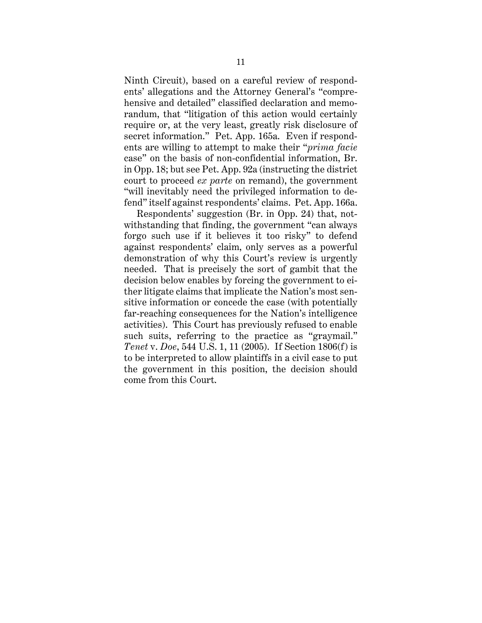Ninth Circuit), based on a careful review of respondents' allegations and the Attorney General's "comprehensive and detailed" classified declaration and memorandum, that "litigation of this action would certainly require or, at the very least, greatly risk disclosure of secret information." Pet. App. 165a. Even if respondents are willing to attempt to make their "*prima facie* case" on the basis of non-confidential information, Br. in Opp. 18; but see Pet. App. 92a (instructing the district court to proceed *ex parte* on remand), the government "will inevitably need the privileged information to defend" itself against respondents' claims. Pet. App. 166a.

Respondents' suggestion (Br. in Opp. 24) that, notwithstanding that finding, the government "can always forgo such use if it believes it too risky" to defend against respondents' claim, only serves as a powerful demonstration of why this Court's review is urgently needed. That is precisely the sort of gambit that the decision below enables by forcing the government to either litigate claims that implicate the Nation's most sensitive information or concede the case (with potentially far-reaching consequences for the Nation's intelligence activities). This Court has previously refused to enable such suits, referring to the practice as "graymail." *Tenet* v. *Doe*, 544 U.S. 1, 11 (2005). If Section 1806(f) is to be interpreted to allow plaintiffs in a civil case to put the government in this position, the decision should come from this Court.